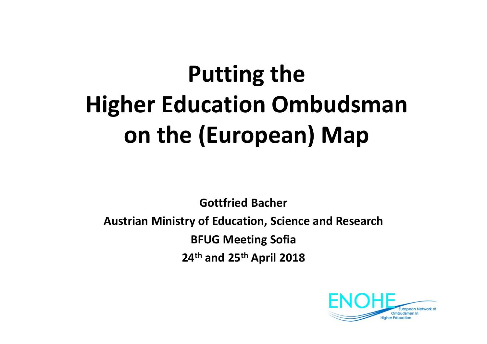# **Putting the Higher Education Ombudsmanon the (European) Map**

**Gottfried BacherAustrian Ministry of Education, Science and Research BFUG Meeting Sofia24th and <sup>25</sup>th April 2018**

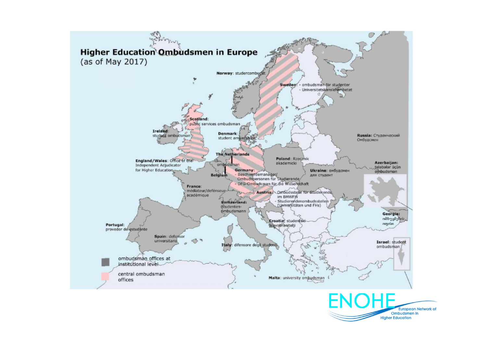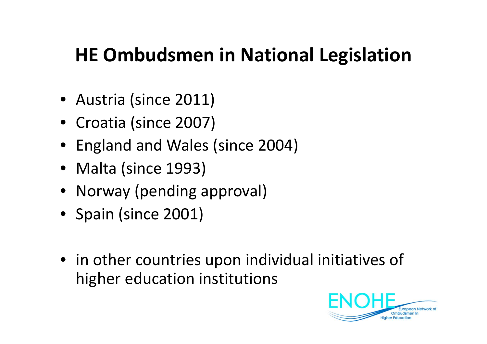### **HE Ombudsmen in National Legislation**

- Austria (since 2011)
- Croatia (since 2007)
- England and Wales (since 2004)
- Malta (since 1993)
- Norway (pending approval)
- Spain (since 2001)
- in other countries upon individual initiatives of higher education institutions

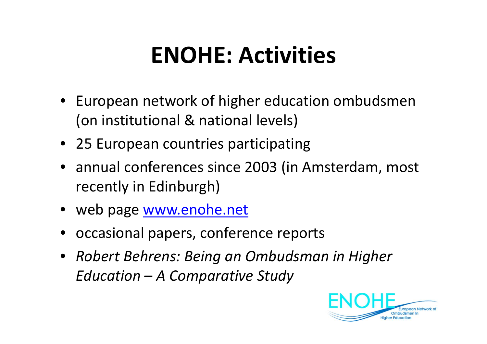#### **ENOHE: Activities**

- European network of higher education ombudsmen(on institutional & national levels)
- 25 European countries participating
- annual conferences since 2003 (in Amsterdam, most recently in Edinburgh)
- web page <u>www.enohe.net</u>
- occasional papers, conference reports
- *Robert Behrens: Being an Ombudsman in Higher Education – A Comparative Study*

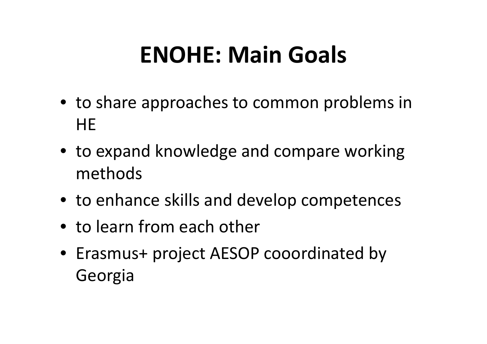#### **ENOHE: Main Goals**

- to share approaches to common problems in **HE**
- to expand knowledge and compare working methods
- to enhance skills and develop competences
- to learn from each other
- Erasmus+ project AESOP cooordinated by Georgia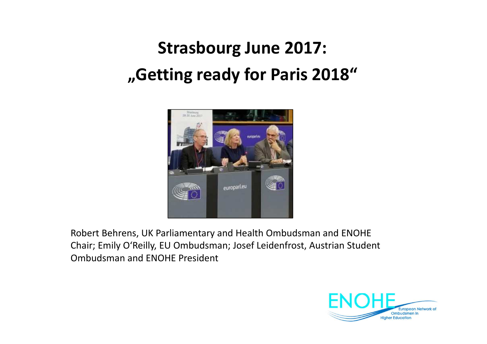#### **Strasbourg June 2017:"Getting ready for Paris 2018"**



Robert Behrens, UK Parliamentary and Health Ombudsman and ENOHE Chair; Emily O'Reilly, EU Ombudsman; Josef Leidenfrost, Austrian Student Ombudsman and ENOHE President

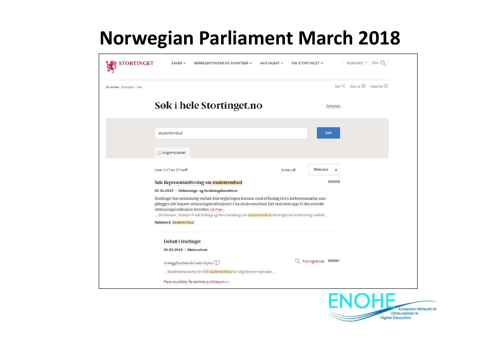## **Norwegian Parliament March 2018**

| <b>STORTINGET</b>         | $SAKER$ $\sim$                                                                                                                                                                                                                                                                                                                                                                                                                       | REPRESENTANTER OG KOMITEER V                                                                          | HVA SKJER? $\vee$ | NOR/ENG $\times$ SØK Q<br>OM STORTINGET V                    |
|---------------------------|--------------------------------------------------------------------------------------------------------------------------------------------------------------------------------------------------------------------------------------------------------------------------------------------------------------------------------------------------------------------------------------------------------------------------------------|-------------------------------------------------------------------------------------------------------|-------------------|--------------------------------------------------------------|
| Du er her: Forsiden - Søk |                                                                                                                                                                                                                                                                                                                                                                                                                                      |                                                                                                       |                   | Del $\leqslant_o^o$ Skriv ut $\boxdot$ Meld feil $\boxtimes$ |
|                           |                                                                                                                                                                                                                                                                                                                                                                                                                                      | Søk i hele Stortinget.no                                                                              |                   | Søketips                                                     |
|                           | studentombud                                                                                                                                                                                                                                                                                                                                                                                                                         |                                                                                                       |                   | Søk                                                          |
|                           | Avgrens søket                                                                                                                                                                                                                                                                                                                                                                                                                        |                                                                                                       |                   |                                                              |
|                           | Viser 1-17 av 17 treff                                                                                                                                                                                                                                                                                                                                                                                                               |                                                                                                       | Sorter på:        | Relevans                                                     |
|                           |                                                                                                                                                                                                                                                                                                                                                                                                                                      | Sak: Representantforslag om studentombud                                                              |                   | <b>The College Property</b>                                  |
|                           | 07.11.2017 - Utdannings- og forskningskomiteen<br>Stortinget har enstemmig vedtatt å be regjeringen komme med et forslag til en lovbestemmelse som<br>pålegger alle høyere utdanningsinstitusjoner å ha studentombud. Det skal være opp til den enkelte<br>utdanningsinstitusjon hvordan vis mer<br>Christensen, Torstein Tvedt Solberg og Nina Sandberg om studentombud Stortinget har enstemmig vedtatt<br>Nøkkelord: Studentombud |                                                                                                       |                   |                                                              |
|                           | <b>Debatt i Stortinget</b><br>01.03.2018 - Møtereferat                                                                                                                                                                                                                                                                                                                                                                               |                                                                                                       |                   |                                                              |
|                           |                                                                                                                                                                                                                                                                                                                                                                                                                                      | Innlegg fra statsråd Iselin Nybø<br>Studentenes kamp for å få studentombud er i dag kronet med seier. |                   | C Finn lignende                                              |
|                           |                                                                                                                                                                                                                                                                                                                                                                                                                                      | Flere resultater fra samme publikasjon >>                                                             |                   | NIAL                                                         |